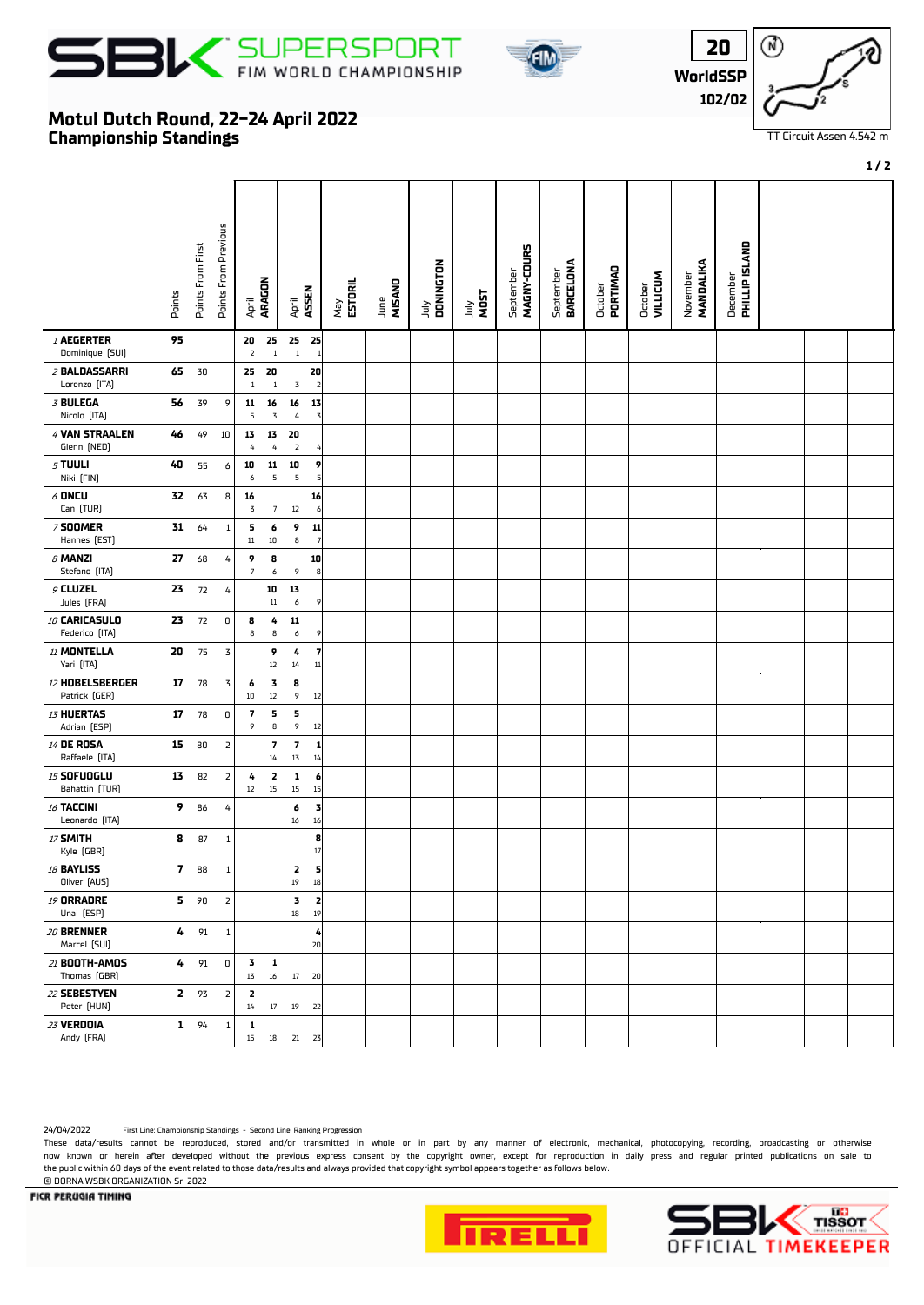





**20**

⋒

## **Championship Standings Motul Dutch Round, 22-24 April 2022**

|                                      | Points                  | Points From First | Points From Previous | ARAGON<br>April                               | ASSEN<br>April                                           | May<br><b>ESTORIL</b> | MISAND<br>June | DONINGTON<br>УInr | July<br>MOST | MAGNY-COURS<br>September | September<br>BARCELONA | October<br>PORTIMAO | <b>VILLICUM</b><br>October | MANDALIKA<br>November | December<br><b>PHILLIP ISLAND</b> |  |  |
|--------------------------------------|-------------------------|-------------------|----------------------|-----------------------------------------------|----------------------------------------------------------|-----------------------|----------------|-------------------|--------------|--------------------------|------------------------|---------------------|----------------------------|-----------------------|-----------------------------------|--|--|
| <b>I AEGERTER</b><br>Dominique [SUI] | 95                      |                   |                      | 20<br>25<br>$\overline{2}$                    | $25$ 25<br>$\,1\,$<br>$\mathbf{1}$                       |                       |                |                   |              |                          |                        |                     |                            |                       |                                   |  |  |
| 2 BALDASSARRI<br>Lorenzo [ITA]       | 65                      | 30                |                      | 25<br>20<br>$\overline{1}$<br>1               | 20<br>$\mathbf 3$<br>$\overline{2}$                      |                       |                |                   |              |                          |                        |                     |                            |                       |                                   |  |  |
| 3 BULEGA<br>Nicolo [ITA]             | 56                      | 39                | 9                    | 11<br>16<br>5<br>$\overline{3}$               | 16<br>13<br>$\pmb{4}$<br>$\overline{3}$                  |                       |                |                   |              |                          |                        |                     |                            |                       |                                   |  |  |
| 4 VAN STRAALEN<br>Glenn (NED)        | 46                      | 49                | 10                   | 13<br>13<br>$\it 4$<br>$\overline{4}$         | 20<br>$\overline{2}$                                     |                       |                |                   |              |                          |                        |                     |                            |                       |                                   |  |  |
| $5$ TUULI<br>Niki [FIN]              | 40                      | 55                | 6                    | 11<br>10<br>5<br>6                            | 10<br>9<br>5<br>5 <sup>1</sup>                           |                       |                |                   |              |                          |                        |                     |                            |                       |                                   |  |  |
| $6$ ONCU<br>Can [TUR]                | 32                      | 63                | 8                    | 16<br>$\mathbf 3$<br>$\overline{7}$           | 16<br>$12\,$<br>$6 \mid$                                 |                       |                |                   |              |                          |                        |                     |                            |                       |                                   |  |  |
| <b>7 SOOMER</b><br>Hannes (EST)      | 31                      | 64                | $\,1\,$              | 5<br>6<br>$11\,$<br>$10\,$                    | 9<br> 11 <br>8<br>7                                      |                       |                |                   |              |                          |                        |                     |                            |                       |                                   |  |  |
| $\beta$ MANZI<br>Stefano [ITA]       | 27                      | 68                | 4                    | 9<br>8<br>$\overline{7}$<br>6                 | 10<br>9<br> 8                                            |                       |                |                   |              |                          |                        |                     |                            |                       |                                   |  |  |
| $9$ CLUZEL<br>Jules [FRA]            | 23                      | 72                | 4                    | 10<br>$11\,$                                  | 13<br>6<br>9                                             |                       |                |                   |              |                          |                        |                     |                            |                       |                                   |  |  |
| 10 CARICASULO<br>Federico (ITA)      | 23                      | 72                | $\mathbf 0$          | 8<br>4<br>8<br>8                              | 11<br>$\boldsymbol{6}$<br>9                              |                       |                |                   |              |                          |                        |                     |                            |                       |                                   |  |  |
| 11 MONTELLA<br>Yari [ITA]            | 20                      | 75                | $\mathsf 3$          | 9<br>$12\,$                                   | $\overline{7}$<br>4<br>11<br>14                          |                       |                |                   |              |                          |                        |                     |                            |                       |                                   |  |  |
| 12 HOBELSBERGER<br>Patrick [GER]     | 17                      | 78                | 3                    | 3<br>6<br>12<br>$10\,$                        | 8<br>9<br>12                                             |                       |                |                   |              |                          |                        |                     |                            |                       |                                   |  |  |
| 13 HUERTAS<br>Adrian [ESP]           | 17                      | 78                | $\mathbf 0$          | $\overline{\mathbf{z}}$<br>$\frac{5}{8}$<br>9 | 5<br>9<br>12                                             |                       |                |                   |              |                          |                        |                     |                            |                       |                                   |  |  |
| <b>14 DE ROSA</b><br>Raffaele [ITA]  | 15                      | 80                | 2                    | 7<br>14                                       | $\overline{\phantom{a}}$<br> 1 <br>$1\overline{3}$<br>14 |                       |                |                   |              |                          |                        |                     |                            |                       |                                   |  |  |
| <b>15 SOFUOGLU</b><br>Bahattin [TUR] | 13                      | 82                | $\overline{2}$       | 2<br>4<br>15<br>$12\,$                        | 1<br>$\mathbf{6}$<br>15<br>$15\,$                        |                       |                |                   |              |                          |                        |                     |                            |                       |                                   |  |  |
| 16 TACCINI<br>Leonardo (ITA)         | 9                       | 86                | 4                    |                                               | 3<br>6<br>$16\,$<br>16                                   |                       |                |                   |              |                          |                        |                     |                            |                       |                                   |  |  |
| 17 SMITH<br>Kyle (GBR)               | 8                       | 87                | $\mathbf{1}$         |                                               | 8<br>17                                                  |                       |                |                   |              |                          |                        |                     |                            |                       |                                   |  |  |
| 18 BAYLISS<br>Oliver [AUS]           | $\overline{\mathbf{z}}$ | 88                | $\,1\,$              |                                               | 2<br>5<br>$19\,$<br>18                                   |                       |                |                   |              |                          |                        |                     |                            |                       |                                   |  |  |
| <b>19 ORRADRE</b><br>Unai [ESP]      | 5.                      | 90                | $\overline{2}$       |                                               | 괴<br>3<br>19<br>$18\,$                                   |                       |                |                   |              |                          |                        |                     |                            |                       |                                   |  |  |
| 20 BRENNER<br>Marcel [SUI]           | 4                       | 91                | $\mathbf{1}$         |                                               | 4<br>20                                                  |                       |                |                   |              |                          |                        |                     |                            |                       |                                   |  |  |
| 21 <b>BOOTH-AMOS</b><br>Thomas (GBR) |                         | $4 \t 91$         | $\boldsymbol{0}$     | 3<br>1<br>16<br>$1\overline{3}$               | $17$ 20                                                  |                       |                |                   |              |                          |                        |                     |                            |                       |                                   |  |  |
| 22 SEBESTYEN<br>Peter [HUN]          | $\mathbf{z}$            | 93                | $\overline{2}$       | 2<br>$14\,$<br>$17\,$                         | 19<br>22                                                 |                       |                |                   |              |                          |                        |                     |                            |                       |                                   |  |  |
| 23 VERDOIA<br>Andy [FRA]             |                         | $1 \t 94$         | $\,1$                | 1<br>15<br>18                                 | $21 \quad 23$                                            |                       |                |                   |              |                          |                        |                     |                            |                       |                                   |  |  |

24/04/2022 First Line: Championship Standings - Second Line: Ranking Progression

These data/results cannot be reproduced, stored and/or transmitted in whole or in part by any manner of electronic, mechanical, photocopying, recording, broadcasting or otherwise now known or herein afer developed without the previous express consent by the copyright owner, except for reproduction in daily press and regular printed publications on sale to the public within 60 days of the event related to those data/results and always provided that copyright symbol appears together as follows below. © DORNA WSBK ORGANIZATION Srl 2022





FICR PERUGIA TIMING

**1 / 2**

TT Circuit Assen 4.542 m